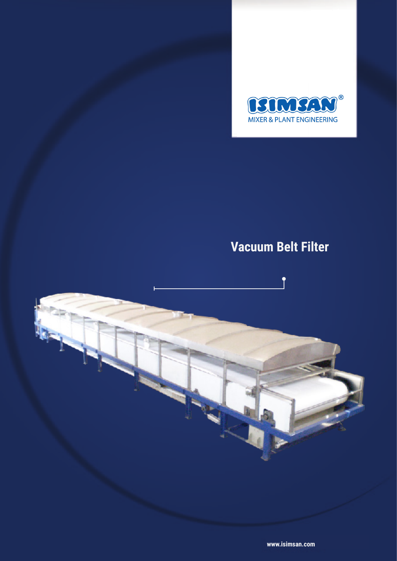

# **Vacuum Belt Filter**



**www.isimsan.com**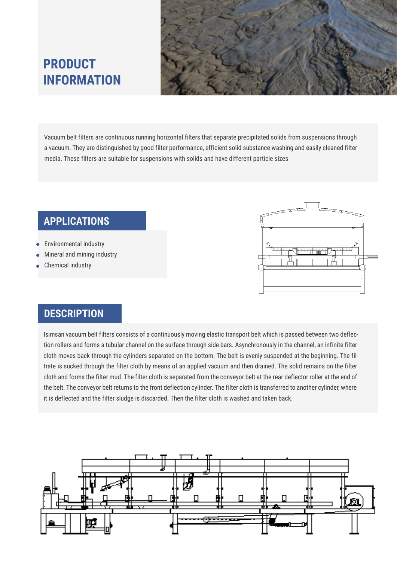

## **PRODUCT INFORMATION**

Vacuum belt filters are continuous running horizontal filters that separate precipitated solids from suspensions through a vacuum. They are distinguished by good filter performance, efficient solid substance washing and easily cleaned filter media. These filters are suitable for suspensions with solids and have different particle sizes

#### **APPLICATIONS**

- Environmental industry
- Mineral and mining industry
- Chemical industry



#### **DESCRIPTION**

Isımsan vacuum belt filters consists of a continuously moving elastic transport belt which is passed between two deflection rollers and forms a tubular channel on the surface through side bars. Asynchronously in the channel, an infinite filter cloth moves back through the cylinders separated on the bottom. The belt is evenly suspended at the beginning. The filtrate is sucked through the filter cloth by means of an applied vacuum and then drained. The solid remains on the filter cloth and forms the filter mud. The filter cloth is separated from the conveyor belt at the rear deflector roller at the end of the belt. The conveyor belt returns to the front deflection cylinder. The filter cloth is transferred to another cylinder, where it is deflected and the filter sludge is discarded. Then the filter cloth is washed and taken back.

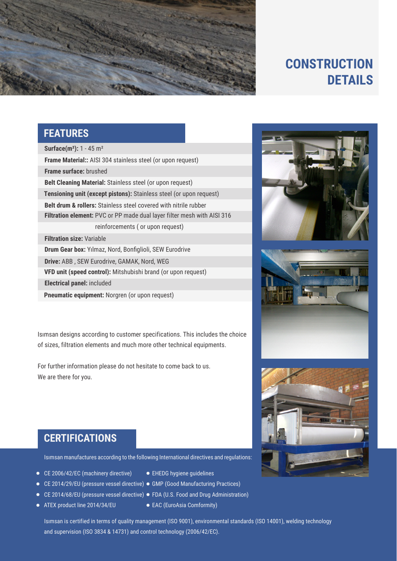

### **CONSTRUCTION DETAILS**

#### **FEATURES**

**Surface(m²):** 1 - 45 m² **Frame Material::** AISI 304 stainless steel (or upon request) **Belt drum & rollers:** Stainless steel covered with nitrile rubber **Drum Gear box:** Yılmaz, Nord, Bonfiglioli, SEW Eurodrive **Frame surface:** brushed **Filtration element:** PVC or PP made dual layer filter mesh with AISI 316 **Tensioning unit (except pistons):** Stainless steel (or upon request) **Filtration size:** Variable **VFD unit (speed control):** Mitshubishi brand (or upon request) **Belt Cleaning Material:** Stainless steel (or upon request) reinforcements ( or upon request) **Drive:** ABB , SEW Eurodrive, GAMAK, Nord, WEG **Electrical panel:** included

**Pneumatic equipment:** Norgren (or upon request)

Isımsan designs according to customer specifications. This includes the choice of sizes, filtration elements and much more other technical equipments.

For further information please do not hesitate to come back to us. We are there for you.







#### **CERTIFICATIONS**

Isımsan manufactures according to the following International directives and regulations:

- CE 2006/42/EC (machinery directive)
- CE 2014/29/EU (pressure vessel directive) GMP (Good Manufacturing Practices)
	- CE 2014/68/EU (pressure vessel directive) FDA (U.S. Food and Drug Administration)
- ATEX product line 2014/34/EU
- EAC (EuroAsia Comformity)

EHEDG hygiene guidelines

Isımsan is certified in terms of quality management (ISO 9001), environmental standards (ISO 14001), welding technology and supervision (ISO 3834 & 14731) and control technology (2006/42/EC).